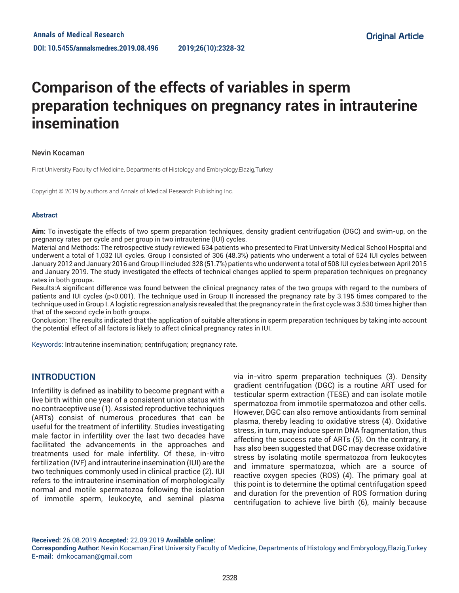# **Comparison of the effects of variables in sperm preparation techniques on pregnancy rates in intrauterine insemination**

#### Nevin Kocaman

Firat University Faculty of Medicine, Departments of Histology and Embryology,Elazig,Turkey

Copyright © 2019 by authors and Annals of Medical Research Publishing Inc.

#### **Abstract**

**Aim:** To investigate the effects of two sperm preparation techniques, density gradient centrifugation (DGC) and swim-up, on the pregnancy rates per cycle and per group in two intrauterine (IUI) cycles.

Material and Methods: The retrospective study reviewed 634 patients who presented to Firat University Medical School Hospital and underwent a total of 1,032 IUI cycles. Group I consisted of 306 (48.3%) patients who underwent a total of 524 IUI cycles between January 2012 and January 2016 and Group II included 328 (51.7%) patients who underwent a total of 508 IUI cycles between April 2015 and January 2019. The study investigated the effects of technical changes applied to sperm preparation techniques on pregnancy rates in both groups.

Results:A significant difference was found between the clinical pregnancy rates of the two groups with regard to the numbers of patients and IUI cycles (p<0.001). The technique used in Group II increased the pregnancy rate by 3.195 times compared to the technique used in Group I. A logistic regression analysis revealed that the pregnancy rate in the first cycle was 3.530 times higher than that of the second cycle in both groups.

Conclusion: The results indicated that the application of suitable alterations in sperm preparation techniques by taking into account the potential effect of all factors is likely to affect clinical pregnancy rates in IUI.

Keywords: Intrauterine insemination; centrifugation; pregnancy rate.

## **INTRODUCTION**

Infertility is defined as inability to become pregnant with a live birth within one year of a consistent union status with no contraceptive use (1). Assisted reproductive techniques (ARTs) consist of numerous procedures that can be useful for the treatment of infertility. Studies investigating male factor in infertility over the last two decades have facilitated the advancements in the approaches and treatments used for male infertility. Of these, in-vitro fertilization (IVF) and intrauterine insemination (IUI) are the two techniques commonly used in clinical practice (2). IUI refers to the intrauterine insemination of morphologically normal and motile spermatozoa following the isolation of immotile sperm, leukocyte, and seminal plasma

via in-vitro sperm preparation techniques (3). Density gradient centrifugation (DGC) is a routine ART used for testicular sperm extraction (TESE) and can isolate motile spermatozoa from immotile spermatozoa and other cells. However, DGC can also remove antioxidants from seminal plasma, thereby leading to oxidative stress (4). Oxidative stress, in turn, may induce sperm DNA fragmentation, thus affecting the success rate of ARTs (5). On the contrary, it has also been suggested that DGC may decrease oxidative stress by isolating motile spermatozoa from leukocytes and immature spermatozoa, which are a source of reactive oxygen species (ROS) (4). The primary goal at this point is to determine the optimal centrifugation speed and duration for the prevention of ROS formation during centrifugation to achieve live birth (6), mainly because

**Received:** 26.08.2019 **Accepted:** 22.09.2019 **Available online:** 

**Corresponding Author:** Nevin Kocaman,Firat University Faculty of Medicine, Departments of Histology and Embryology,Elazig,Turkey **E-mail:** drnkocaman@gmail.com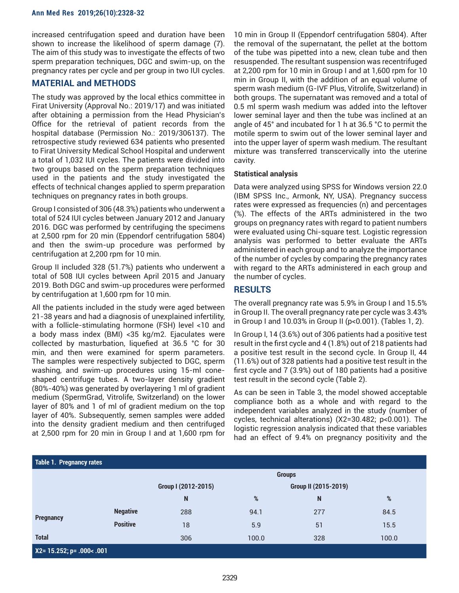increased centrifugation speed and duration have been shown to increase the likelihood of sperm damage (7). The aim of this study was to investigate the effects of two sperm preparation techniques, DGC and swim-up, on the pregnancy rates per cycle and per group in two IUI cycles.

# **MATERIAL and METHODS**

The study was approved by the local ethics committee in Firat University (Approval No.: 2019/17) and was initiated after obtaining a permission from the Head Physician's Office for the retrieval of patient records from the hospital database (Permission No.: 2019/306137). The retrospective study reviewed 634 patients who presented to Firat University Medical School Hospital and underwent a total of 1,032 IUI cycles. The patients were divided into two groups based on the sperm preparation techniques used in the patients and the study investigated the effects of technical changes applied to sperm preparation techniques on pregnancy rates in both groups.

Group I consisted of 306 (48.3%) patients who underwent a total of 524 IUI cycles between January 2012 and January 2016. DGC was performed by centrifuging the specimens at 2,500 rpm for 20 min (Eppendorf centrifugation 5804) and then the swim-up procedure was performed by centrifugation at 2,200 rpm for 10 min.

Group II included 328 (51.7%) patients who underwent a total of 508 IUI cycles between April 2015 and January 2019. Both DGC and swim-up procedures were performed by centrifugation at 1,600 rpm for 10 min.

All the patients included in the study were aged between 21-38 years and had a diagnosis of unexplained infertility, with a follicle-stimulating hormone (FSH) level <10 and a body mass index (BMI) <35 kg/m2. Ejaculates were collected by masturbation, liquefied at 36.5 °C for 30 min, and then were examined for sperm parameters. The samples were respectively subjected to DGC, sperm washing, and swim-up procedures using 15-ml coneshaped centrifuge tubes. A two-layer density gradient (80%-40%) was generated by overlayering 1 ml of gradient medium (SpermGrad, Vitrolife, Switzerland) on the lower layer of 80% and 1 of ml of gradient medium on the top layer of 40%. Subsequently, semen samples were added into the density gradient medium and then centrifuged at 2,500 rpm for 20 min in Group I and at 1,600 rpm for

10 min in Group II (Eppendorf centrifugation 5804). After the removal of the supernatant, the pellet at the bottom of the tube was pipetted into a new, clean tube and then resuspended. The resultant suspension was recentrifuged at 2,200 rpm for 10 min in Group I and at 1,600 rpm for 10 min in Group II, with the addition of an equal volume of sperm wash medium (G-IVF Plus, Vitrolife, Switzerland) in both groups. The supernatant was removed and a total of 0.5 ml sperm wash medium was added into the leftover lower seminal layer and then the tube was inclined at an angle of 45° and incubated for 1 h at 36.5 °C to permit the motile sperm to swim out of the lower seminal layer and into the upper layer of sperm wash medium. The resultant mixture was transferred transcervically into the uterine cavity.

#### **Statistical analysis**

Data were analyzed using SPSS for Windows version 22.0 (IBM SPSS Inc., Armonk, NY, USA). Pregnancy success rates were expressed as frequencies (n) and percentages (%). The effects of the ARTs administered in the two groups on pregnancy rates with regard to patient numbers were evaluated using Chi-square test. Logistic regression analysis was performed to better evaluate the ARTs administered in each group and to analyze the importance of the number of cycles by comparing the pregnancy rates with regard to the ARTs administered in each group and the number of cycles.

# **RESULTS**

The overall pregnancy rate was 5.9% in Group I and 15.5% in Group II. The overall pregnancy rate per cycle was 3.43% in Group I and 10.03% in Group II (p<0.001). (Tables 1, 2).

In Group I, 14 (3.6%) out of 306 patients had a positive test result in the first cycle and 4 (1.8%) out of 218 patients had a positive test result in the second cycle. In Group II, 44 (11.6%) out of 328 patients had a positive test result in the first cycle and 7 (3.9%) out of 180 patients had a positive test result in the second cycle (Table 2).

As can be seen in Table 3, the model showed acceptable compliance both as a whole and with regard to the independent variables analyzed in the study (number of cycles, technical alterations) (X2=30.482; p<0.001). The logistic regression analysis indicated that these variables had an effect of 9.4% on pregnancy positivity and the

| Table 1. Pregnancy rates       |                 |                     |       |                      |       |  |
|--------------------------------|-----------------|---------------------|-------|----------------------|-------|--|
|                                |                 | <b>Groups</b>       |       |                      |       |  |
|                                |                 | Group I (2012-2015) |       | Group II (2015-2019) |       |  |
|                                |                 | N                   | %     | N                    | %     |  |
|                                | <b>Negative</b> | 288                 | 94.1  | 277                  | 84.5  |  |
| <b>Pregnancy</b>               | <b>Positive</b> | 18                  | 5.9   | 51                   | 15.5  |  |
| <b>Total</b>                   |                 | 306                 | 100.0 | 328                  | 100.0 |  |
| $X2 = 15.252; p = .000 < .001$ |                 |                     |       |                      |       |  |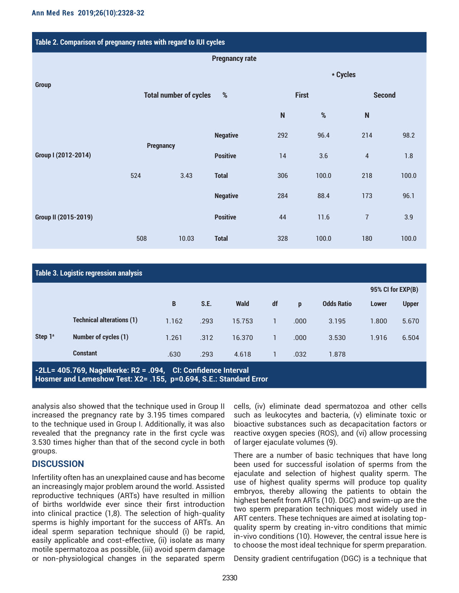| Table 2. Comparison of pregnancy rates with regard to IUI cycles |                               |                 |                       |              |          |                |       |  |  |
|------------------------------------------------------------------|-------------------------------|-----------------|-----------------------|--------------|----------|----------------|-------|--|--|
|                                                                  |                               |                 | <b>Pregnancy rate</b> |              |          |                |       |  |  |
|                                                                  |                               |                 |                       |              | * Cycles |                |       |  |  |
| <b>Group</b>                                                     | <b>Total number of cycles</b> | $\%$            |                       | <b>First</b> |          | <b>Second</b>  |       |  |  |
|                                                                  |                               |                 |                       | $\mathsf{N}$ | $\%$     | $\mathsf{N}$   |       |  |  |
|                                                                  | <b>Pregnancy</b>              | <b>Negative</b> | 292                   | 96.4         | 214      | 98.2           |       |  |  |
| Group I (2012-2014)                                              |                               |                 | <b>Positive</b>       | 14           | 3.6      | $\overline{4}$ | 1.8   |  |  |
|                                                                  | 524                           | 3.43            | <b>Total</b>          | 306          | 100.0    | 218            | 100.0 |  |  |
|                                                                  |                               |                 | <b>Negative</b>       | 284          | 88.4     | 173            | 96.1  |  |  |
| Group II (2015-2019)                                             |                               |                 | <b>Positive</b>       | 44           | 11.6     | $\overline{7}$ | 3.9   |  |  |
|                                                                  | 508                           | 10.03           | <b>Total</b>          | 328          | 100.0    | 180            | 100.0 |  |  |

| Table 3. Logistic regression analysis                                                                                              |                                  |       |      |             |    |      |                   |       |                   |  |
|------------------------------------------------------------------------------------------------------------------------------------|----------------------------------|-------|------|-------------|----|------|-------------------|-------|-------------------|--|
|                                                                                                                                    |                                  |       |      |             |    |      |                   |       | 95% CI for EXP(B) |  |
|                                                                                                                                    |                                  | B     | S.E. | <b>Wald</b> | df | p    | <b>Odds Ratio</b> | Lower | <b>Upper</b>      |  |
| Step $1^a$                                                                                                                         | <b>Technical alterations (1)</b> | 1.162 | .293 | 15.753      |    | .000 | 3.195             | 1.800 | 5.670             |  |
|                                                                                                                                    | Number of cycles (1)             | 1.261 | .312 | 16.370      |    | .000 | 3.530             | 1.916 | 6.504             |  |
|                                                                                                                                    | <b>Constant</b>                  | .630  | .293 | 4.618       |    | .032 | 1.878             |       |                   |  |
| -2LL= 405.769, Nagelkerke: R2 = .094, CI: Confidence Interval<br>Hosmer and Lemeshow Test: X2= .155, p=0.694, S.E.: Standard Error |                                  |       |      |             |    |      |                   |       |                   |  |

analysis also showed that the technique used in Group II increased the pregnancy rate by 3.195 times compared to the technique used in Group I. Additionally, it was also revealed that the pregnancy rate in the first cycle was 3.530 times higher than that of the second cycle in both groups.

## **DISCUSSION**

Infertility often has an unexplained cause and has become an increasingly major problem around the world. Assisted reproductive techniques (ARTs) have resulted in million of births worldwide ever since their first introduction into clinical practice (1,8). The selection of high-quality sperms is highly important for the success of ARTs. An ideal sperm separation technique should (i) be rapid, easily applicable and cost-effective, (ii) isolate as many motile spermatozoa as possible, (iii) avoid sperm damage or non-physiological changes in the separated sperm

cells, (iv) eliminate dead spermatozoa and other cells such as leukocytes and bacteria, (v) eliminate toxic or bioactive substances such as decapacitation factors or reactive oxygen species (ROS), and (vi) allow processing of larger ejaculate volumes (9).

There are a number of basic techniques that have long been used for successful isolation of sperms from the ejaculate and selection of highest quality sperm. The use of highest quality sperms will produce top quality embryos, thereby allowing the patients to obtain the highest benefit from ARTs (10). DGC) and swim-up are the two sperm preparation techniques most widely used in ART centers. These techniques are aimed at isolating topquality sperm by creating in-vitro conditions that mimic in-vivo conditions (10). However, the central issue here is to choose the most ideal technique for sperm preparation.

Density gradient centrifugation (DGC) is a technique that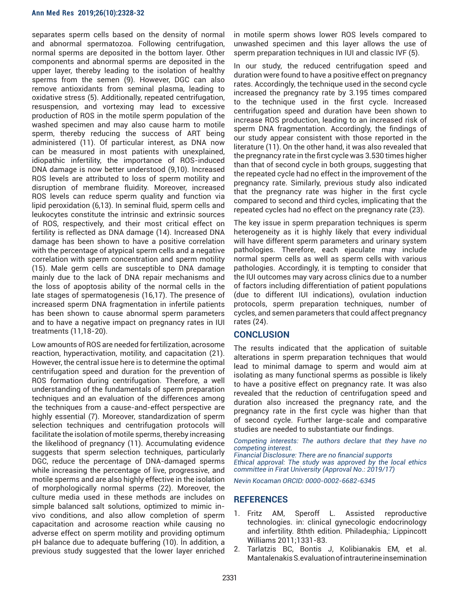separates sperm cells based on the density of normal and abnormal spermatozoa. Following centrifugation, normal sperms are deposited in the bottom layer. Other components and abnormal sperms are deposited in the upper layer, thereby leading to the isolation of healthy sperms from the semen (9). However, DGC can also remove antioxidants from seminal plasma, leading to oxidative stress (5). Additionally, repeated centrifugation, resuspension, and vortexing may lead to excessive production of ROS in the motile sperm population of the washed specimen and may also cause harm to motile sperm, thereby reducing the success of ART being administered (11). Of particular interest, as DNA now can be measured in most patients with unexplained, idiopathic infertility, the importance of ROS-induced DNA damage is now better understood (9,10). Increased ROS levels are attributed to loss of sperm motility and disruption of membrane fluidity. Moreover, increased ROS levels can reduce sperm quality and function via lipid peroxidation (6,13). In seminal fluid, sperm cells and leukocytes constitute the intrinsic and extrinsic sources of ROS, respectively, and their most critical effect on fertility is reflected as DNA damage (14). Increased DNA damage has been shown to have a positive correlation with the percentage of atypical sperm cells and a negative correlation with sperm concentration and sperm motility (15). Male germ cells are susceptible to DNA damage mainly due to the lack of DNA repair mechanisms and the loss of apoptosis ability of the normal cells in the late stages of spermatogenesis (16,17). The presence of increased sperm DNA fragmentation in infertile patients has been shown to cause abnormal sperm parameters and to have a negative impact on pregnancy rates in IUI treatments (11,18-20).

Low amounts of ROS are needed for fertilization, acrosome reaction, hyperactivation, motility, and capacitation (21). However, the central issue here is to determine the optimal centrifugation speed and duration for the prevention of ROS formation during centrifugation. Therefore, a well understanding of the fundamentals of sperm preparation techniques and an evaluation of the differences among the techniques from a cause-and-effect perspective are highly essential (7). Moreover, standardization of sperm selection techniques and centrifugation protocols will facilitate the isolation of motile sperms, thereby increasing the likelihood of pregnancy (11). Accumulating evidence suggests that sperm selection techniques, particularly DGC, reduce the percentage of DNA-damaged sperms while increasing the percentage of live, progressive, and motile sperms and are also highly effective in the isolation of morphologically normal sperms (22). Moreover, the culture media used in these methods are includes on simple balanced salt solutions, optimized to mimic invivo conditions, and also allow completion of sperm capacitation and acrosome reaction while causing no adverse effect on sperm motility and providing optimum pH balance due to adequate buffering (10). İn addition, a previous study suggested that the lower layer enriched in motile sperm shows lower ROS levels compared to unwashed specimen and this layer allows the use of sperm preparation techniques in IUI and classic IVF (5).

In our study, the reduced centrifugation speed and duration were found to have a positive effect on pregnancy rates. Accordingly, the technique used in the second cycle increased the pregnancy rate by 3.195 times compared to the technique used in the first cycle. Increased centrifugation speed and duration have been shown to increase ROS production, leading to an increased risk of sperm DNA fragmentation. Accordingly, the findings of our study appear consistent with those reported in the literature (11). On the other hand, it was also revealed that the pregnancy rate in the first cycle was 3.530 times higher than that of second cycle in both groups, suggesting that the repeated cycle had no effect in the improvement of the pregnancy rate. Similarly, previous study also indicated that the pregnancy rate was higher in the first cycle compared to second and third cycles, implicating that the repeated cycles had no effect on the pregnancy rate (23).

The key issue in sperm preparation techniques is sperm heterogeneity as it is highly likely that every individual will have different sperm parameters and urinary system pathologies. Therefore, each ejaculate may include normal sperm cells as well as sperm cells with various pathologies. Accordingly, it is tempting to consider that the IUI outcomes may vary across clinics due to a number of factors including differentiation of patient populations (due to different IUI indications), ovulation induction protocols, sperm preparation techniques, number of cycles, and semen parameters that could affect pregnancy rates (24).

#### **CONCLUSION**

The results indicated that the application of suitable alterations in sperm preparation techniques that would lead to minimal damage to sperm and would aim at isolating as many functional sperms as possible is likely to have a positive effect on pregnancy rate. It was also revealed that the reduction of centrifugation speed and duration also increased the pregnancy rate, and the pregnancy rate in the first cycle was higher than that of second cycle. Further large-scale and comparative studies are needed to substantiate our findings.

*Competing interests: The authors declare that they have no competing interest.* 

*Financial Disclosure: There are no financial supports Ethical approval: The study was approved by the local ethics committee in Firat University (Approval No.: 2019/17)* 

*Nevin Kocaman ORCID: 0000-0002-6682-6345*

## **REFERENCES**

- 1. Fritz AM, Speroff L. Assisted reproductive technologies. in: clinical gynecologic endocrinology and infertility. 8thth edition. Philadeıphia,: Lippincott Williams 2011;1331-83.
- 2. Tarlatzis BC, Bontis J, Kolibianakis EM, et al. Mantalenakis S.evaluation of intrauterine insemination